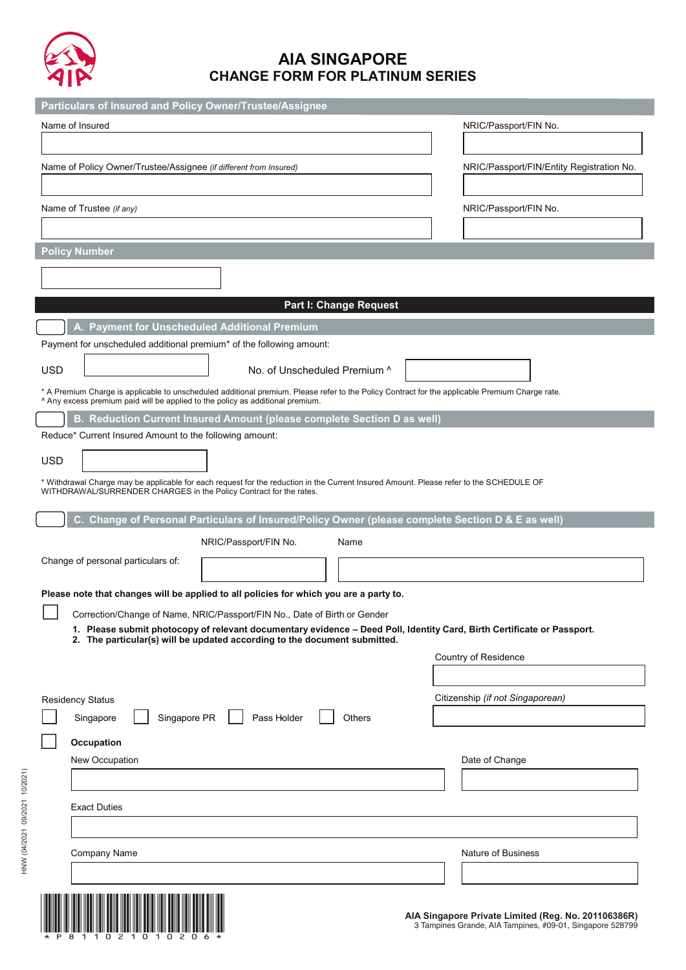

# **AIA SINGAPORE CHANGE FORM FOR PLATINUM SERIES**

| Particulars of Insured and Policy Owner/Trustee/Assignee                                                                                                                                                                        |                                           |  |  |  |
|---------------------------------------------------------------------------------------------------------------------------------------------------------------------------------------------------------------------------------|-------------------------------------------|--|--|--|
| Name of Insured                                                                                                                                                                                                                 | NRIC/Passport/FIN No.                     |  |  |  |
|                                                                                                                                                                                                                                 |                                           |  |  |  |
| Name of Policy Owner/Trustee/Assignee (if different from Insured)                                                                                                                                                               | NRIC/Passport/FIN/Entity Registration No. |  |  |  |
|                                                                                                                                                                                                                                 |                                           |  |  |  |
| Name of Trustee (if any)                                                                                                                                                                                                        | NRIC/Passport/FIN No.                     |  |  |  |
|                                                                                                                                                                                                                                 |                                           |  |  |  |
|                                                                                                                                                                                                                                 |                                           |  |  |  |
| <b>Policy Number</b>                                                                                                                                                                                                            |                                           |  |  |  |
|                                                                                                                                                                                                                                 |                                           |  |  |  |
| <b>Part I: Change Request</b>                                                                                                                                                                                                   |                                           |  |  |  |
| A. Payment for Unscheduled Additional Premium                                                                                                                                                                                   |                                           |  |  |  |
| Payment for unscheduled additional premium* of the following amount:                                                                                                                                                            |                                           |  |  |  |
|                                                                                                                                                                                                                                 |                                           |  |  |  |
| <b>USD</b><br>No. of Unscheduled Premium ^                                                                                                                                                                                      |                                           |  |  |  |
| * A Premium Charge is applicable to unscheduled additional premium. Please refer to the Policy Contract for the applicable Premium Charge rate.<br>Any excess premium paid will be applied to the policy as additional premium. |                                           |  |  |  |
| B. Reduction Current Insured Amount (please complete Section D as well)                                                                                                                                                         |                                           |  |  |  |
| Reduce* Current Insured Amount to the following amount:                                                                                                                                                                         |                                           |  |  |  |
| <b>USD</b>                                                                                                                                                                                                                      |                                           |  |  |  |
| * Withdrawal Charge may be applicable for each request for the reduction in the Current Insured Amount. Please refer to the SCHEDULE OF                                                                                         |                                           |  |  |  |
| WITHDRAWAL/SURRENDER CHARGES in the Policy Contract for the rates.                                                                                                                                                              |                                           |  |  |  |
| C. Change of Personal Particulars of Insured/Policy Owner (please complete Section D & E as well)                                                                                                                               |                                           |  |  |  |
| NRIC/Passport/FIN No.<br>Name                                                                                                                                                                                                   |                                           |  |  |  |
| Change of personal particulars of:                                                                                                                                                                                              |                                           |  |  |  |
|                                                                                                                                                                                                                                 |                                           |  |  |  |
| Please note that changes will be applied to all policies for which you are a party to.                                                                                                                                          |                                           |  |  |  |
| Correction/Change of Name, NRIC/Passport/FIN No., Date of Birth or Gender<br>1. Please submit photocopy of relevant documentary evidence - Deed Poll, Identity Card, Birth Certificate or Passport.                             |                                           |  |  |  |
| 2. The particular(s) will be updated according to the document submitted.                                                                                                                                                       |                                           |  |  |  |
|                                                                                                                                                                                                                                 | Country of Residence                      |  |  |  |
|                                                                                                                                                                                                                                 |                                           |  |  |  |
| <b>Residency Status</b>                                                                                                                                                                                                         | Citizenship (if not Singaporean)          |  |  |  |
| Singapore PR<br>Pass Holder<br>Others<br>Singapore                                                                                                                                                                              |                                           |  |  |  |
| Occupation                                                                                                                                                                                                                      |                                           |  |  |  |
| New Occupation                                                                                                                                                                                                                  | Date of Change                            |  |  |  |
|                                                                                                                                                                                                                                 |                                           |  |  |  |
| <b>Exact Duties</b>                                                                                                                                                                                                             |                                           |  |  |  |
|                                                                                                                                                                                                                                 |                                           |  |  |  |
|                                                                                                                                                                                                                                 |                                           |  |  |  |
| Company Name                                                                                                                                                                                                                    | Nature of Business                        |  |  |  |
|                                                                                                                                                                                                                                 |                                           |  |  |  |
| <u>I is a light of the control of the control of the control of the control of the control of the control of the </u>                                                                                                           |                                           |  |  |  |



HNW (07/2017 04/2021 09/2021) (04/2021 09/2021 10/2021)

HNW (04/2021 09/2021 10/2021)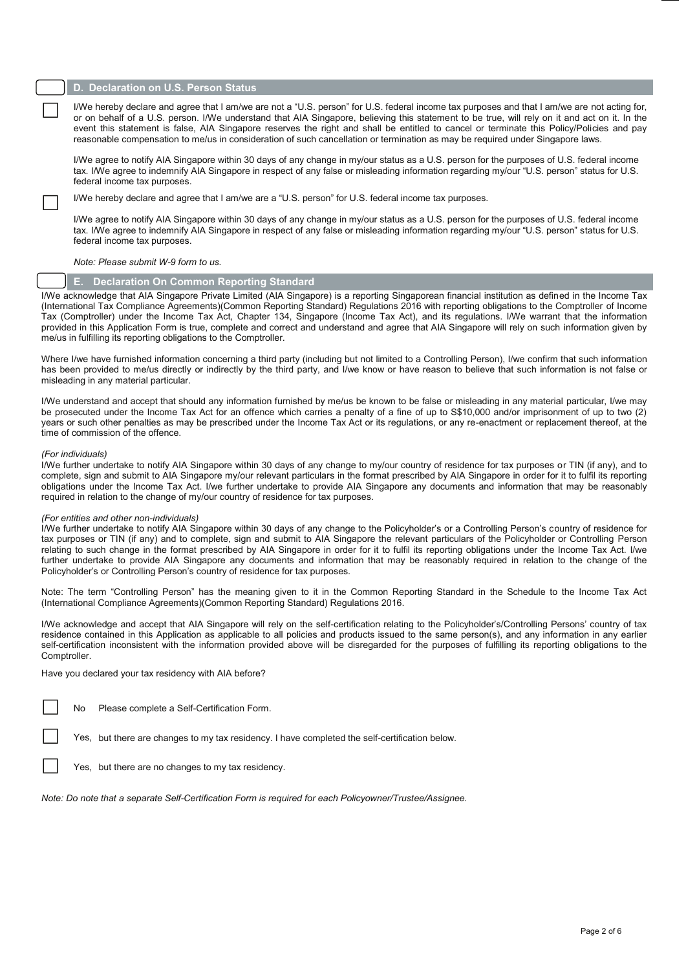## **D. Declaration on U.S. Person Status**

I/We hereby declare and agree that I am/we are not a "U.S. person" for U.S. federal income tax purposes and that I am/we are not acting for, or on behalf of a U.S. person. I/We understand that AIA Singapore, believing this event this statement is false, AIA Singapore reserves the right and shall be entitled to cancel or terminate this Policy/Policies and pay reasonable compensation to me/us in consideration of such cancellation or termination as may be required under Singapore laws.

I/We agree to notify AIA Singapore within 30 days of any change in my/our status as a U.S. person for the purposes of U.S. federal income tax. I/We agree to indemnify AIA Singapore in respect of any false or misleading information regarding my/our "U.S. person" status for U.S. federal income tax purposes.

I/We hereby declare and agree that I am/we are a "U.S. person" for U.S. federal income tax purposes.

I/We agree to notify AIA Singapore within 30 days of any change in my/our status as a U.S. person for the purposes of U.S. federal income tax. I/We agree to indemnify AIA Singapore in respect of any false or misleading information regarding my/our "U.S. person" status for U.S. federal income tax purposes.

*Note: Please submit W-9 form to us.*

# **E. Declaration On Common Reporting Standard**

I/We acknowledge that AIA Singapore Private Limited (AIA Singapore) is a reporting Singaporean financial institution as defined in the Income Tax (International Tax Compliance Agreements)(Common Reporting Standard) Regulations 2016 with reporting obligations to the Comptroller of Income Tax (Comptroller) under the Income Tax Act, Chapter 134, Singapore (Income Tax Act), and its regulations. I/We warrant that the information provided in this Application Form is true, complete and correct and understand and agree that AIA Singapore will rely on such information given by me/us in fulfilling its reporting obligations to the Comptroller.

Where I/we have furnished information concerning a third party (including but not limited to a Controlling Person), I/we confirm that such information has been provided to me/us directly or indirectly by the third party, and I/we know or have reason to believe that such information is not false or misleading in any material particular.

I/We understand and accept that should any information furnished by me/us be known to be false or misleading in any material particular, I/we may be prosecuted under the Income Tax Act for an offence which carries a penalty of a fine of up to S\$10,000 and/or imprisonment of up to two (2) years or such other penalties as may be prescribed under the Income Tax Act or its regulations, or any re-enactment or replacement thereof, at the time of commission of the offence.

#### *(For individuals)*

I/We further undertake to notify AIA Singapore within 30 days of any change to my/our country of residence for tax purposes or TIN (if any), and to complete, sign and submit to AIA Singapore my/our relevant particulars in the format prescribed by AIA Singapore in order for it to fulfil its reporting obligations under the Income Tax Act. I/we further undertake to provide AIA Singapore any documents and information that may be reasonably required in relation to the change of my/our country of residence for tax purposes.

#### *(For entities and other non-individuals)*

I/We further undertake to notify AIA Singapore within 30 days of any change to the Policyholder's or a Controlling Person's country of residence for tax purposes or TIN (if any) and to complete, sign and submit to AIA Singapore the relevant particulars of the Policyholder or Controlling Person relating to such change in the format prescribed by AIA Singapore in order for it to fulfil its reporting obligations under the Income Tax Act. I/we further undertake to provide AIA Singapore any documents and information that may be reasonably required in relation to the change of the Policyholder's or Controlling Person's country of residence for tax purposes.

Note: The term "Controlling Person" has the meaning given to it in the Common Reporting Standard in the Schedule to the Income Tax Act (International Compliance Agreements)(Common Reporting Standard) Regulations 2016.

I/We acknowledge and accept that AIA Singapore will rely on the self-certification relating to the Policyholder's/Controlling Persons' country of tax residence contained in this Application as applicable to all policies and products issued to the same person(s), and any information in any earlier self-certification inconsistent with the information provided above will be disregarded for the purposes of fulfilling its reporting obligations to the Comptroller.

Have you declared your tax residency with AIA before?

|  |  | No Please complete a Self-Certification Form. |
|--|--|-----------------------------------------------|
|--|--|-----------------------------------------------|

Yes, but there are changes to my tax residency. I have completed the self-certification below.

Yes, but there are no changes to my tax residency.

*Note: Do note that a separate Self-Certification Form is required for each Policyowner/Trustee/Assignee.*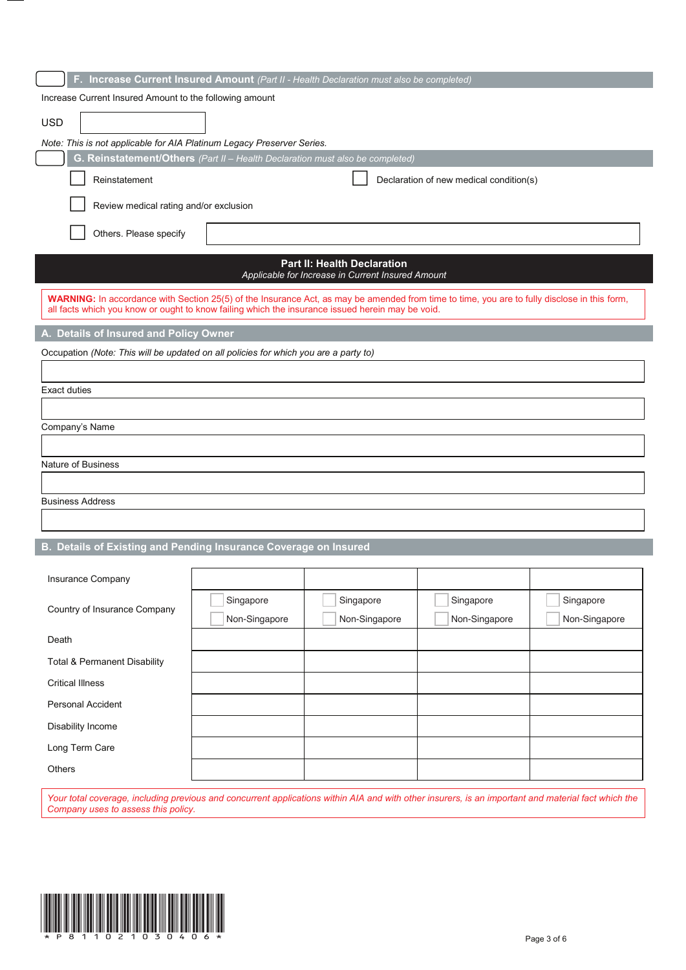| F. Increase Current Insured Amount (Part II - Health Declaration must also be completed)                                                                                                                                                         |                                                         |                                                                                         |                                         |               |  |  |
|--------------------------------------------------------------------------------------------------------------------------------------------------------------------------------------------------------------------------------------------------|---------------------------------------------------------|-----------------------------------------------------------------------------------------|-----------------------------------------|---------------|--|--|
|                                                                                                                                                                                                                                                  | Increase Current Insured Amount to the following amount |                                                                                         |                                         |               |  |  |
| <b>USD</b>                                                                                                                                                                                                                                       |                                                         |                                                                                         |                                         |               |  |  |
| Note: This is not applicable for AIA Platinum Legacy Preserver Series.                                                                                                                                                                           |                                                         |                                                                                         |                                         |               |  |  |
| G. Reinstatement/Others (Part II - Health Declaration must also be completed)                                                                                                                                                                    |                                                         |                                                                                         |                                         |               |  |  |
| Reinstatement                                                                                                                                                                                                                                    |                                                         |                                                                                         | Declaration of new medical condition(s) |               |  |  |
|                                                                                                                                                                                                                                                  | Review medical rating and/or exclusion                  |                                                                                         |                                         |               |  |  |
| Others. Please specify                                                                                                                                                                                                                           |                                                         |                                                                                         |                                         |               |  |  |
|                                                                                                                                                                                                                                                  |                                                         | <b>Part II: Health Declaration</b><br>Applicable for Increase in Current Insured Amount |                                         |               |  |  |
| WARNING: In accordance with Section 25(5) of the Insurance Act, as may be amended from time to time, you are to fully disclose in this form,<br>all facts which you know or ought to know failing which the insurance issued herein may be void. |                                                         |                                                                                         |                                         |               |  |  |
| A. Details of Insured and Policy Owner                                                                                                                                                                                                           |                                                         |                                                                                         |                                         |               |  |  |
| Occupation (Note: This will be updated on all policies for which you are a party to)                                                                                                                                                             |                                                         |                                                                                         |                                         |               |  |  |
|                                                                                                                                                                                                                                                  |                                                         |                                                                                         |                                         |               |  |  |
| <b>Exact duties</b>                                                                                                                                                                                                                              |                                                         |                                                                                         |                                         |               |  |  |
|                                                                                                                                                                                                                                                  |                                                         |                                                                                         |                                         |               |  |  |
|                                                                                                                                                                                                                                                  | Company's Name                                          |                                                                                         |                                         |               |  |  |
| Nature of Business                                                                                                                                                                                                                               |                                                         |                                                                                         |                                         |               |  |  |
|                                                                                                                                                                                                                                                  |                                                         |                                                                                         |                                         |               |  |  |
| <b>Business Address</b>                                                                                                                                                                                                                          |                                                         |                                                                                         |                                         |               |  |  |
|                                                                                                                                                                                                                                                  |                                                         |                                                                                         |                                         |               |  |  |
| B. Details of Existing and Pending Insurance Coverage on Insured                                                                                                                                                                                 |                                                         |                                                                                         |                                         |               |  |  |
|                                                                                                                                                                                                                                                  |                                                         |                                                                                         |                                         |               |  |  |
| Insurance Company                                                                                                                                                                                                                                |                                                         |                                                                                         |                                         |               |  |  |
| Country of Insurance Company                                                                                                                                                                                                                     | Singapore                                               | Singapore                                                                               | Singapore                               | Singapore     |  |  |
|                                                                                                                                                                                                                                                  | Non-Singapore                                           | Non-Singapore                                                                           | Non-Singapore                           | Non-Singapore |  |  |
| Death                                                                                                                                                                                                                                            |                                                         |                                                                                         |                                         |               |  |  |
| <b>Total &amp; Permanent Disability</b>                                                                                                                                                                                                          |                                                         |                                                                                         |                                         |               |  |  |
| <b>Critical Illness</b>                                                                                                                                                                                                                          |                                                         |                                                                                         |                                         |               |  |  |
| Personal Accident                                                                                                                                                                                                                                |                                                         |                                                                                         |                                         |               |  |  |
| Disability Income                                                                                                                                                                                                                                |                                                         |                                                                                         |                                         |               |  |  |
| Long Term Care                                                                                                                                                                                                                                   |                                                         |                                                                                         |                                         |               |  |  |
| <b>Others</b>                                                                                                                                                                                                                                    |                                                         |                                                                                         |                                         |               |  |  |
|                                                                                                                                                                                                                                                  |                                                         |                                                                                         |                                         |               |  |  |

*Your total coverage, including previous and concurrent applications within AIA and with other insurers, is an important and material fact which the Company uses to assess this policy.*

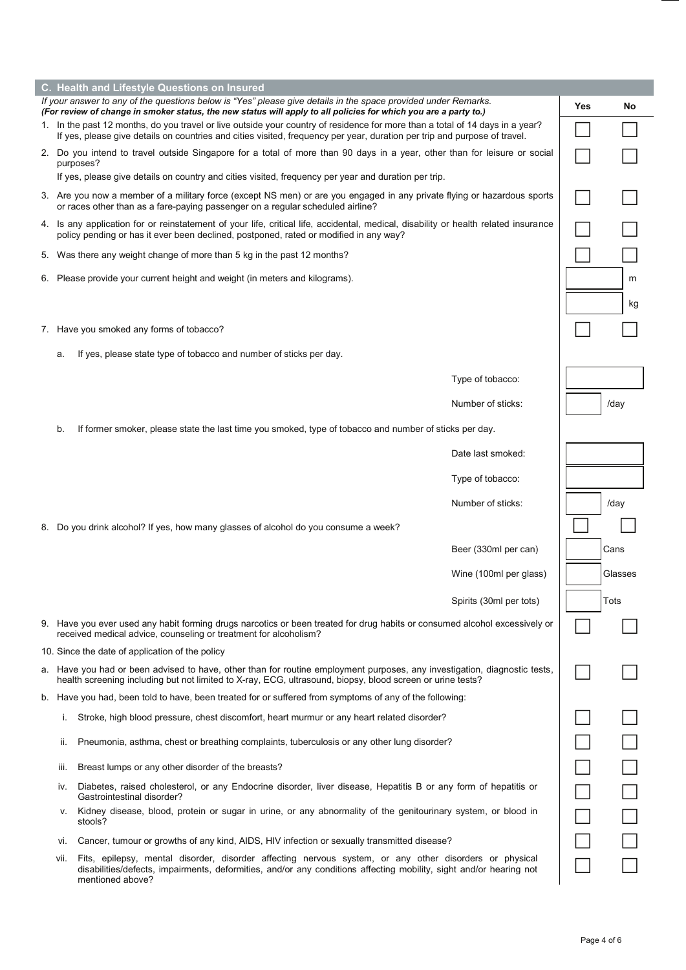|                                                                                                                                                                                                                                                            | C. Health and Lifestyle Questions on Insured                                                                                                                                                                                                    |                                                                                                                                                                                                                                                  |                         |  |         |  |  |
|------------------------------------------------------------------------------------------------------------------------------------------------------------------------------------------------------------------------------------------------------------|-------------------------------------------------------------------------------------------------------------------------------------------------------------------------------------------------------------------------------------------------|--------------------------------------------------------------------------------------------------------------------------------------------------------------------------------------------------------------------------------------------------|-------------------------|--|---------|--|--|
|                                                                                                                                                                                                                                                            | If your answer to any of the questions below is "Yes" please give details in the space provided under Remarks.<br>Yes<br>No<br>(For review of change in smoker status, the new status will apply to all policies for which you are a party to.) |                                                                                                                                                                                                                                                  |                         |  |         |  |  |
| 1. In the past 12 months, do you travel or live outside your country of residence for more than a total of 14 days in a year?<br>If yes, please give details on countries and cities visited, frequency per year, duration per trip and purpose of travel. |                                                                                                                                                                                                                                                 |                                                                                                                                                                                                                                                  |                         |  |         |  |  |
| 2. Do you intend to travel outside Singapore for a total of more than 90 days in a year, other than for leisure or social<br>purposes?                                                                                                                     |                                                                                                                                                                                                                                                 |                                                                                                                                                                                                                                                  |                         |  |         |  |  |
|                                                                                                                                                                                                                                                            |                                                                                                                                                                                                                                                 | If yes, please give details on country and cities visited, frequency per year and duration per trip.                                                                                                                                             |                         |  |         |  |  |
|                                                                                                                                                                                                                                                            |                                                                                                                                                                                                                                                 | 3. Are you now a member of a military force (except NS men) or are you engaged in any private flying or hazardous sports<br>or races other than as a fare-paying passenger on a regular scheduled airline?                                       |                         |  |         |  |  |
|                                                                                                                                                                                                                                                            |                                                                                                                                                                                                                                                 | 4. Is any application for or reinstatement of your life, critical life, accidental, medical, disability or health related insurance<br>policy pending or has it ever been declined, postponed, rated or modified in any way?                     |                         |  |         |  |  |
|                                                                                                                                                                                                                                                            |                                                                                                                                                                                                                                                 | 5. Was there any weight change of more than 5 kg in the past 12 months?                                                                                                                                                                          |                         |  |         |  |  |
|                                                                                                                                                                                                                                                            |                                                                                                                                                                                                                                                 | 6. Please provide your current height and weight (in meters and kilograms).                                                                                                                                                                      |                         |  | m       |  |  |
|                                                                                                                                                                                                                                                            |                                                                                                                                                                                                                                                 |                                                                                                                                                                                                                                                  |                         |  | kg      |  |  |
|                                                                                                                                                                                                                                                            |                                                                                                                                                                                                                                                 | 7. Have you smoked any forms of tobacco?                                                                                                                                                                                                         |                         |  |         |  |  |
|                                                                                                                                                                                                                                                            | a.                                                                                                                                                                                                                                              | If yes, please state type of tobacco and number of sticks per day.                                                                                                                                                                               |                         |  |         |  |  |
|                                                                                                                                                                                                                                                            |                                                                                                                                                                                                                                                 |                                                                                                                                                                                                                                                  | Type of tobacco:        |  |         |  |  |
|                                                                                                                                                                                                                                                            |                                                                                                                                                                                                                                                 |                                                                                                                                                                                                                                                  | Number of sticks:       |  | /day    |  |  |
|                                                                                                                                                                                                                                                            | b.                                                                                                                                                                                                                                              | If former smoker, please state the last time you smoked, type of tobacco and number of sticks per day.                                                                                                                                           |                         |  |         |  |  |
|                                                                                                                                                                                                                                                            |                                                                                                                                                                                                                                                 |                                                                                                                                                                                                                                                  | Date last smoked:       |  |         |  |  |
|                                                                                                                                                                                                                                                            |                                                                                                                                                                                                                                                 |                                                                                                                                                                                                                                                  | Type of tobacco:        |  |         |  |  |
|                                                                                                                                                                                                                                                            |                                                                                                                                                                                                                                                 |                                                                                                                                                                                                                                                  | Number of sticks:       |  | /day    |  |  |
|                                                                                                                                                                                                                                                            |                                                                                                                                                                                                                                                 | 8. Do you drink alcohol? If yes, how many glasses of alcohol do you consume a week?                                                                                                                                                              |                         |  |         |  |  |
|                                                                                                                                                                                                                                                            |                                                                                                                                                                                                                                                 |                                                                                                                                                                                                                                                  | Beer (330ml per can)    |  | Cans    |  |  |
|                                                                                                                                                                                                                                                            |                                                                                                                                                                                                                                                 |                                                                                                                                                                                                                                                  | Wine (100ml per glass)  |  | Glasses |  |  |
|                                                                                                                                                                                                                                                            |                                                                                                                                                                                                                                                 |                                                                                                                                                                                                                                                  | Spirits (30ml per tots) |  | Tots    |  |  |
|                                                                                                                                                                                                                                                            |                                                                                                                                                                                                                                                 | 9. Have you ever used any habit forming drugs narcotics or been treated for drug habits or consumed alcohol excessively or<br>received medical advice, counseling or treatment for alcoholism?                                                   |                         |  |         |  |  |
|                                                                                                                                                                                                                                                            |                                                                                                                                                                                                                                                 | 10. Since the date of application of the policy                                                                                                                                                                                                  |                         |  |         |  |  |
| a. Have you had or been advised to have, other than for routine employment purposes, any investigation, diagnostic tests,<br>health screening including but not limited to X-ray, ECG, ultrasound, biopsy, blood screen or urine tests?                    |                                                                                                                                                                                                                                                 |                                                                                                                                                                                                                                                  |                         |  |         |  |  |
|                                                                                                                                                                                                                                                            |                                                                                                                                                                                                                                                 | b. Have you had, been told to have, been treated for or suffered from symptoms of any of the following:                                                                                                                                          |                         |  |         |  |  |
|                                                                                                                                                                                                                                                            | ı.                                                                                                                                                                                                                                              | Stroke, high blood pressure, chest discomfort, heart murmur or any heart related disorder?                                                                                                                                                       |                         |  |         |  |  |
|                                                                                                                                                                                                                                                            | II.                                                                                                                                                                                                                                             | Pneumonia, asthma, chest or breathing complaints, tuberculosis or any other lung disorder?                                                                                                                                                       |                         |  |         |  |  |
|                                                                                                                                                                                                                                                            | m.                                                                                                                                                                                                                                              | Breast lumps or any other disorder of the breasts?                                                                                                                                                                                               |                         |  |         |  |  |
|                                                                                                                                                                                                                                                            | IV.                                                                                                                                                                                                                                             | Diabetes, raised cholesterol, or any Endocrine disorder, liver disease, Hepatitis B or any form of hepatitis or<br>Gastrointestinal disorder?                                                                                                    |                         |  |         |  |  |
|                                                                                                                                                                                                                                                            | v.                                                                                                                                                                                                                                              | Kidney disease, blood, protein or sugar in urine, or any abnormality of the genitourinary system, or blood in<br>stools?                                                                                                                         |                         |  |         |  |  |
|                                                                                                                                                                                                                                                            | Vi.                                                                                                                                                                                                                                             | Cancer, tumour or growths of any kind, AIDS, HIV infection or sexually transmitted disease?                                                                                                                                                      |                         |  |         |  |  |
|                                                                                                                                                                                                                                                            | VII.                                                                                                                                                                                                                                            | Fits, epilepsy, mental disorder, disorder affecting nervous system, or any other disorders or physical<br>disabilities/defects, impairments, deformities, and/or any conditions affecting mobility, sight and/or hearing not<br>mentioned above? |                         |  |         |  |  |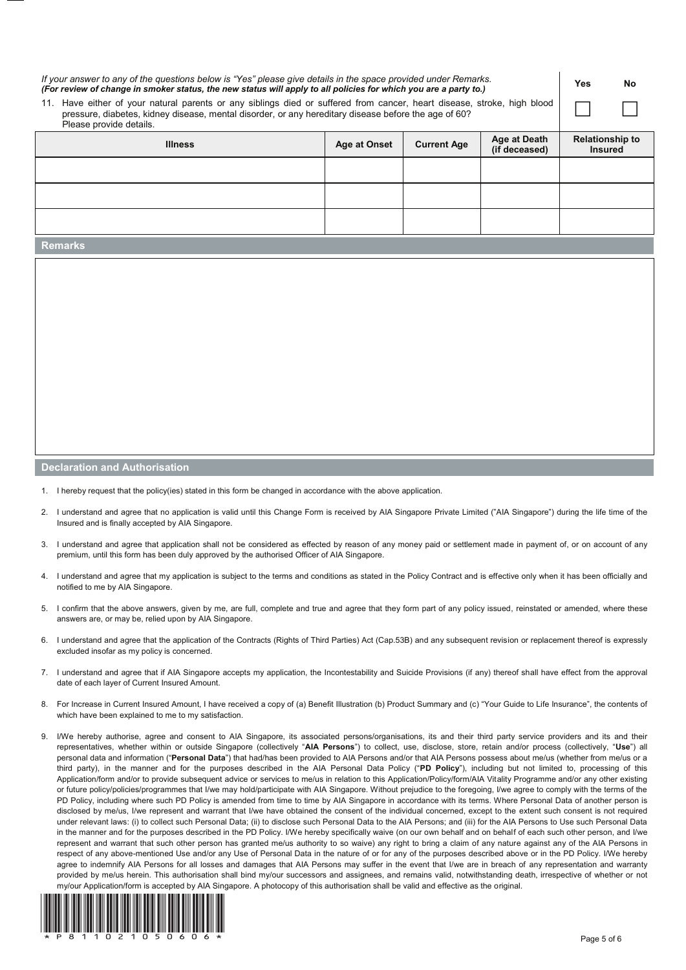| If your answer to any of the questions below is "Yes" please give details in the space provided under Remarks.<br>(For review of change in smoker status, the new status will apply to all policies for which you are a party to.)<br>11. Have either of your natural parents or any siblings died or suffered from cancer, heart disease, stroke, high blood<br>pressure, diabetes, kidney disease, mental disorder, or any hereditary disease before the age of 60?<br>Please provide details. |  |  |  |                                          | No |
|--------------------------------------------------------------------------------------------------------------------------------------------------------------------------------------------------------------------------------------------------------------------------------------------------------------------------------------------------------------------------------------------------------------------------------------------------------------------------------------------------|--|--|--|------------------------------------------|----|
| Age at Death<br><b>Age at Onset</b><br><b>Current Age</b><br><b>Illness</b><br>(if deceased)                                                                                                                                                                                                                                                                                                                                                                                                     |  |  |  | <b>Relationship to</b><br><b>Insured</b> |    |
|                                                                                                                                                                                                                                                                                                                                                                                                                                                                                                  |  |  |  |                                          |    |
|                                                                                                                                                                                                                                                                                                                                                                                                                                                                                                  |  |  |  |                                          |    |
|                                                                                                                                                                                                                                                                                                                                                                                                                                                                                                  |  |  |  |                                          |    |
| <b>Remarks</b>                                                                                                                                                                                                                                                                                                                                                                                                                                                                                   |  |  |  |                                          |    |
|                                                                                                                                                                                                                                                                                                                                                                                                                                                                                                  |  |  |  |                                          |    |

## **Declaration and Authorisation**

- 1. I hereby request that the policy(ies) stated in this form be changed in accordance with the above application.
- 2. I understand and agree that no application is valid until this Change Form is received by AIA Singapore Private Limited ("AIA Singapore") during the life time of the Insured and is finally accepted by AIA Singapore.
- 3. I understand and agree that application shall not be considered as effected by reason of any money paid or settlement made in payment of, or on account of any premium, until this form has been duly approved by the authorised Officer of AIA Singapore.
- 4. I understand and agree that my application is subject to the terms and conditions as stated in the Policy Contract and is effective only when it has been officially and notified to me by AIA Singapore.
- 5. I confirm that the above answers, given by me, are full, complete and true and agree that they form part of any policy issued, reinstated or amended, where these answers are, or may be, relied upon by AIA Singapore.
- 6. I understand and agree that the application of the Contracts (Rights of Third Parties) Act (Cap.53B) and any subsequent revision or replacement thereof is expressly excluded insofar as my policy is concerned.
- 7. I understand and agree that if AIA Singapore accepts my application, the Incontestability and Suicide Provisions (if any) thereof shall have effect from the approval date of each layer of Current Insured Amount.
- 8. For Increase in Current Insured Amount, I have received a copy of (a) Benefit Illustration (b) Product Summary and (c) "Your Guide to Life Insurance", the contents of which have been explained to me to my satisfaction.
- I/We hereby authorise, agree and consent to AIA Singapore, its associated persons/organisations, its and their third party service providers and its and their representatives, whether within or outside Singapore (collectively "**AIA Persons**") to collect, use, disclose, store, retain and/or process (collectively, "**Use**") all personal data and information ("Personal Data") that had/has been provided to AIA Persons and/or that AIA Persons possess about me/us (whether from me/us or a third party), in the manner and for the purposes described in the AIA Personal Data Policy ("**PD Policy**"), including but not limited to, processing of this Application/form and/or to provide subsequent advice or services to me/us in relation to this Application/Policy/form/AIA Vitality Programme and/or any other existing or future policy/policies/programmes that I/we may hold/participate with AIA Singapore. Without prejudice to the foregoing, I/we agree to comply with the terms of the PD Policy, including where such PD Policy is amended from time to time by AIA Singapore in accordance with its terms. Where Personal Data of another person is disclosed by me/us, I/we represent and warrant that I/we have obtained the consent of the individual concerned, except to the extent such consent is not required under relevant laws: (i) to collect such Personal Data; (ii) to disclose such Personal Data to the AIA Persons; and (iii) for the AIA Persons to Use such Personal Data in the manner and for the purposes described in the PD Policy. I/We hereby specifically waive (on our own behalf and on behalf of each such other person, and I/we represent and warrant that such other person has granted me/us authority to so waive) any right to bring a claim of any nature against any of the AIA Persons in respect of any above-mentioned Use and/or any Use of Personal Data in the nature of or for any of the purposes described above or in the PD Policy. I/We hereby agree to indemnify AIA Persons for all losses and damages that AIA Persons may suffer in the event that I/we are in breach of any representation and warranty provided by me/us herein. This authorisation shall bind my/our successors and assignees, and remains valid, notwithstanding death, irrespective of whether or not my/our Application/form is accepted by AIA Singapore. A photocopy of this authorisation shall be valid and effective as the original.